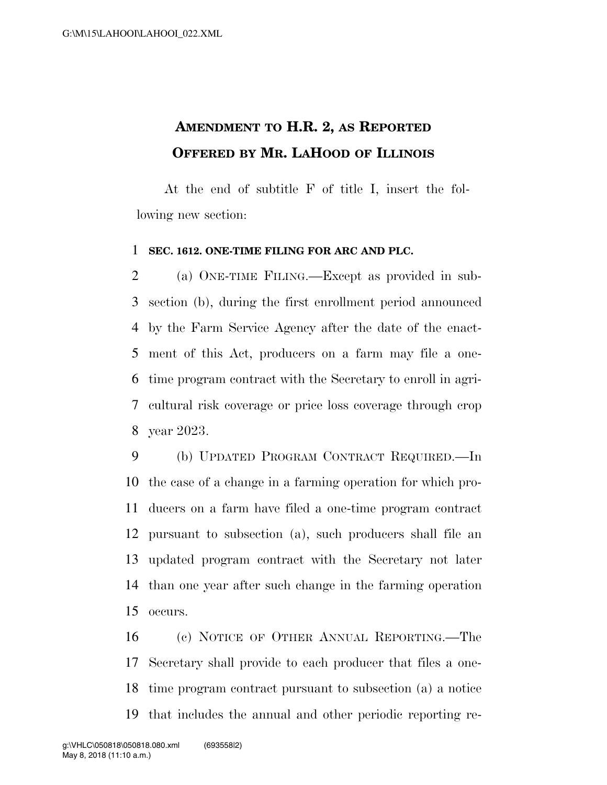## **AMENDMENT TO H.R. 2, AS REPORTED OFFERED BY MR. LAHOOD OF ILLINOIS**

At the end of subtitle F of title I, insert the following new section:

## **SEC. 1612. ONE-TIME FILING FOR ARC AND PLC.**

 (a) ONE-TIME FILING.—Except as provided in sub- section (b), during the first enrollment period announced by the Farm Service Agency after the date of the enact- ment of this Act, producers on a farm may file a one- time program contract with the Secretary to enroll in agri- cultural risk coverage or price loss coverage through crop year 2023.

 (b) UPDATED PROGRAM CONTRACT REQUIRED.—In the case of a change in a farming operation for which pro- ducers on a farm have filed a one-time program contract pursuant to subsection (a), such producers shall file an updated program contract with the Secretary not later than one year after such change in the farming operation occurs.

 (c) NOTICE OF OTHER ANNUAL REPORTING.—The Secretary shall provide to each producer that files a one- time program contract pursuant to subsection (a) a notice that includes the annual and other periodic reporting re-